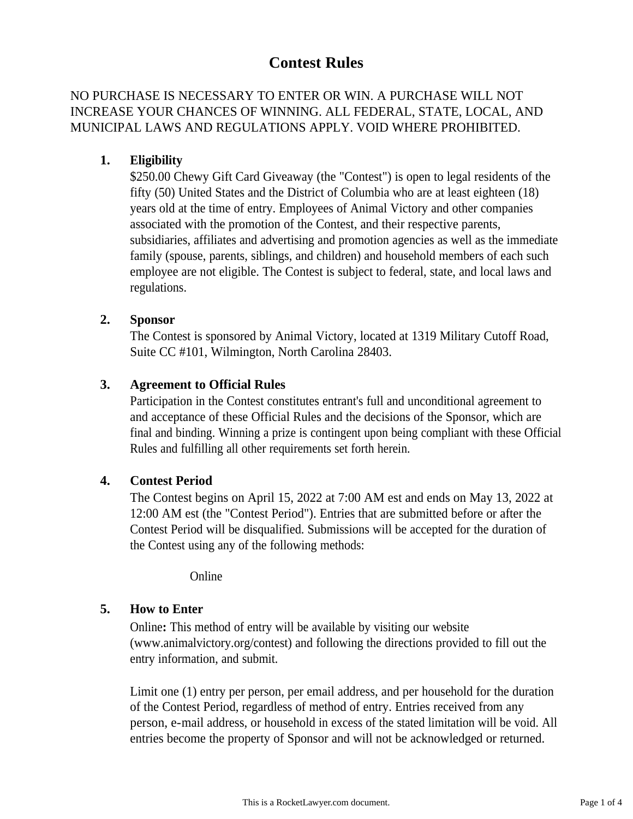# **Contest Rules**

NO PURCHASE IS NECESSARY TO ENTER OR WIN. A PURCHASE WILL NOT INCREASE YOUR CHANCES OF WINNING. ALL FEDERAL, STATE, LOCAL, AND MUNICIPAL LAWS AND REGULATIONS APPLY. VOID WHERE PROHIBITED.

# **1. Eligibility**

\$250.00 Chewy Gift Card Giveaway (the "Contest") is open to legal residents of the fifty (50) United States and the District of Columbia who are at least eighteen (18) years old at the time of entry. Employees of Animal Victory and other companies associated with the promotion of the Contest, and their respective parents, subsidiaries, affiliates and advertising and promotion agencies as well as the immediate family (spouse, parents, siblings, and children) and household members of each such employee are not eligible. The Contest is subject to federal, state, and local laws and regulations.

## **2. Sponsor**

The Contest is sponsored by Animal Victory, located at 1319 Military Cutoff Road, Suite CC #101, Wilmington, North Carolina 28403.

## **3. Agreement to Official Rules**

Participation in the Contest constitutes entrant's full and unconditional agreement to and acceptance of these Official Rules and the decisions of the Sponsor, which are final and binding. Winning a prize is contingent upon being compliant with these Official Rules and fulfilling all other requirements set forth herein.

## **4. Contest Period**

The Contest begins on April 15, 2022 at 7:00 AM est and ends on May 13, 2022 at 12:00 AM est (the "Contest Period"). Entries that are submitted before or after the Contest Period will be disqualified. Submissions will be accepted for the duration of the Contest using any of the following methods:

**Online** 

## **5. How to Enter**

Online**:** This method of entry will be available by visiting our website (www.animalvictory.org/contest) and following the directions provided to fill out the entry information, and submit.

Limit one (1) entry per person, per email address, and per household for the duration of the Contest Period, regardless of method of entry. Entries received from any person, e-mail address, or household in excess of the stated limitation will be void. All entries become the property of Sponsor and will not be acknowledged or returned.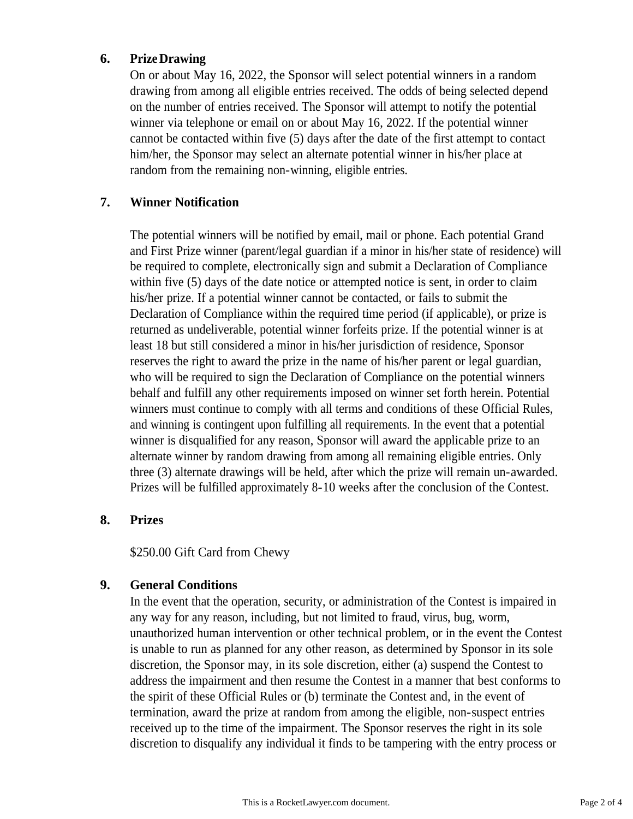#### **6. PrizeDrawing**

On or about May 16, 2022, the Sponsor will select potential winners in a random drawing from among all eligible entries received. The odds of being selected depend on the number of entries received. The Sponsor will attempt to notify the potential winner via telephone or email on or about May 16, 2022. If the potential winner cannot be contacted within five (5) days after the date of the first attempt to contact him/her, the Sponsor may select an alternate potential winner in his/her place at random from the remaining non-winning, eligible entries.

#### **7. Winner Notification**

The potential winners will be notified by email, mail or phone. Each potential Grand and First Prize winner (parent/legal guardian if a minor in his/her state of residence) will be required to complete, electronically sign and submit a Declaration of Compliance within five (5) days of the date notice or attempted notice is sent, in order to claim his/her prize. If a potential winner cannot be contacted, or fails to submit the Declaration of Compliance within the required time period (if applicable), or prize is returned as undeliverable, potential winner forfeits prize. If the potential winner is at least 18 but still considered a minor in his/her jurisdiction of residence, Sponsor reserves the right to award the prize in the name of his/her parent or legal guardian, who will be required to sign the Declaration of Compliance on the potential winners behalf and fulfill any other requirements imposed on winner set forth herein. Potential winners must continue to comply with all terms and conditions of these Official Rules, and winning is contingent upon fulfilling all requirements. In the event that a potential winner is disqualified for any reason, Sponsor will award the applicable prize to an alternate winner by random drawing from among all remaining eligible entries. Only three (3) alternate drawings will be held, after which the prize will remain un-awarded. Prizes will be fulfilled approximately 8-10 weeks after the conclusion of the Contest.

#### **8. Prizes**

\$250.00 Gift Card from Chewy

## **9. General Conditions**

In the event that the operation, security, or administration of the Contest is impaired in any way for any reason, including, but not limited to fraud, virus, bug, worm, unauthorized human intervention or other technical problem, or in the event the Contest is unable to run as planned for any other reason, as determined by Sponsor in its sole discretion, the Sponsor may, in its sole discretion, either (a) suspend the Contest to address the impairment and then resume the Contest in a manner that best conforms to the spirit of these Official Rules or (b) terminate the Contest and, in the event of termination, award the prize at random from among the eligible, non-suspect entries received up to the time of the impairment. The Sponsor reserves the right in its sole discretion to disqualify any individual it finds to be tampering with the entry process or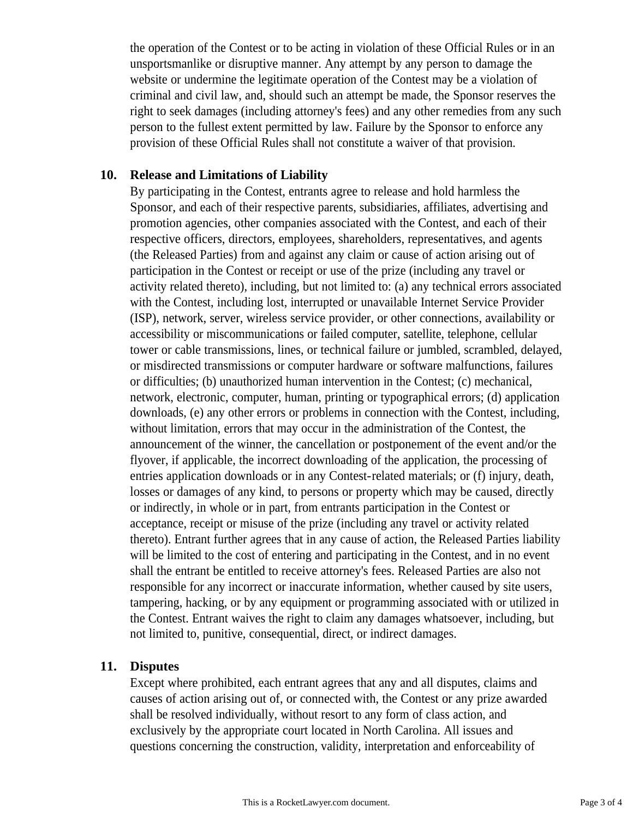the operation of the Contest or to be acting in violation of these Official Rules or in an unsportsmanlike or disruptive manner. Any attempt by any person to damage the website or undermine the legitimate operation of the Contest may be a violation of criminal and civil law, and, should such an attempt be made, the Sponsor reserves the right to seek damages (including attorney's fees) and any other remedies from any such person to the fullest extent permitted by law. Failure by the Sponsor to enforce any provision of these Official Rules shall not constitute a waiver of that provision.

#### **10. Release and Limitations of Liability**

By participating in the Contest, entrants agree to release and hold harmless the Sponsor, and each of their respective parents, subsidiaries, affiliates, advertising and promotion agencies, other companies associated with the Contest, and each of their respective officers, directors, employees, shareholders, representatives, and agents (the Released Parties) from and against any claim or cause of action arising out of participation in the Contest or receipt or use of the prize (including any travel or activity related thereto), including, but not limited to: (a) any technical errors associated with the Contest, including lost, interrupted or unavailable Internet Service Provider (ISP), network, server, wireless service provider, or other connections, availability or accessibility or miscommunications or failed computer, satellite, telephone, cellular tower or cable transmissions, lines, or technical failure or jumbled, scrambled, delayed, or misdirected transmissions or computer hardware or software malfunctions, failures or difficulties; (b) unauthorized human intervention in the Contest; (c) mechanical, network, electronic, computer, human, printing or typographical errors; (d) application downloads, (e) any other errors or problems in connection with the Contest, including, without limitation, errors that may occur in the administration of the Contest, the announcement of the winner, the cancellation or postponement of the event and/or the flyover, if applicable, the incorrect downloading of the application, the processing of entries application downloads or in any Contest-related materials; or (f) injury, death, losses or damages of any kind, to persons or property which may be caused, directly or indirectly, in whole or in part, from entrants participation in the Contest or acceptance, receipt or misuse of the prize (including any travel or activity related thereto). Entrant further agrees that in any cause of action, the Released Parties liability will be limited to the cost of entering and participating in the Contest, and in no event shall the entrant be entitled to receive attorney's fees. Released Parties are also not responsible for any incorrect or inaccurate information, whether caused by site users, tampering, hacking, or by any equipment or programming associated with or utilized in the Contest. Entrant waives the right to claim any damages whatsoever, including, but not limited to, punitive, consequential, direct, or indirect damages.

#### **11. Disputes**

Except where prohibited, each entrant agrees that any and all disputes, claims and causes of action arising out of, or connected with, the Contest or any prize awarded shall be resolved individually, without resort to any form of class action, and exclusively by the appropriate court located in North Carolina. All issues and questions concerning the construction, validity, interpretation and enforceability of